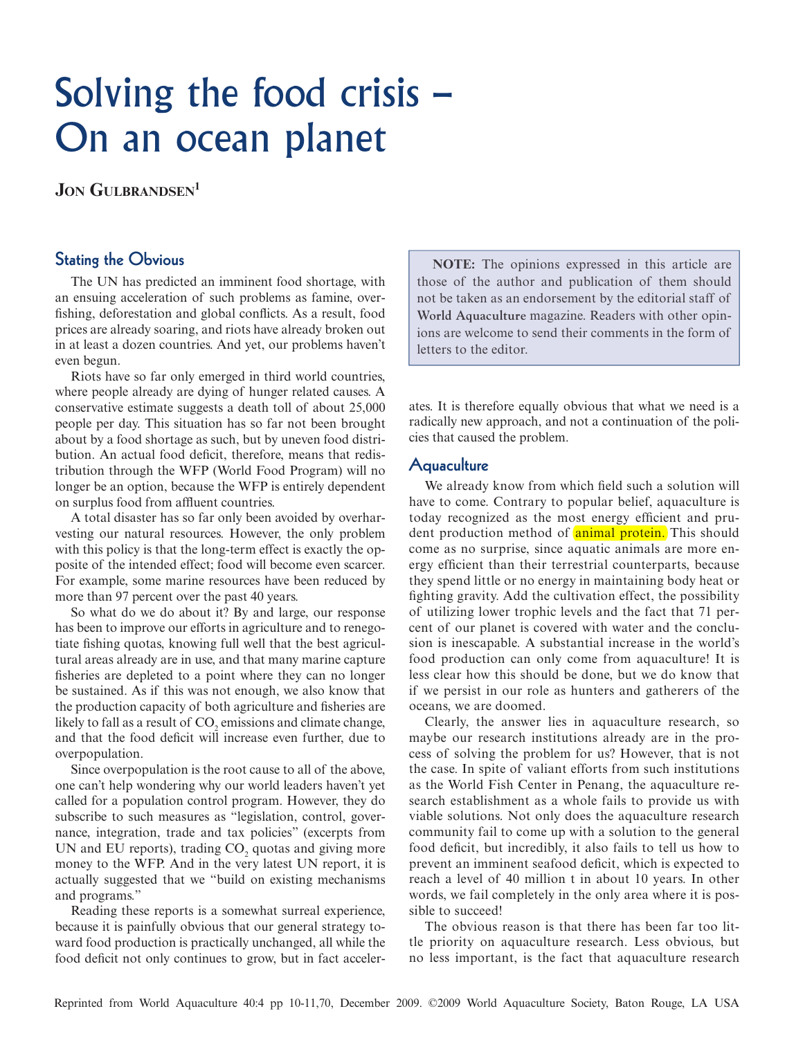# Solving the food crisis – On an ocean planet

**JON GULBRANDSEN<sup>1</sup>** 

# Stating the Obvious

The UN has predicted an imminent food shortage, with an ensuing acceleration of such problems as famine, overfishing, deforestation and global conflicts. As a result, food prices are already soaring, and riots have already broken out in at least a dozen countries. And yet, our problems haven't even begun.

Riots have so far only emerged in third world countries, where people already are dying of hunger related causes. A conservative estimate suggests a death toll of about 25,000 people per day. This situation has so far not been brought about by a food shortage as such, but by uneven food distribution. An actual food deficit, therefore, means that redistribution through the WFP (World Food Program) will no longer be an option, because the WFP is entirely dependent on surplus food from affluent countries.

A total disaster has so far only been avoided by overharvesting our natural resources. However, the only problem with this policy is that the long-term effect is exactly the opposite of the intended effect; food will become even scarcer. For example, some marine resources have been reduced by more than 97 percent over the past 40 years.

So what do we do about it? By and large, our response has been to improve our efforts in agriculture and to renegotiate fishing quotas, knowing full well that the best agricultural areas already are in use, and that many marine capture fisheries are depleted to a point where they can no longer be sustained. As if this was not enough, we also know that the production capacity of both agriculture and fisheries are likely to fall as a result of  $\mathrm{CO}_2$  emissions and climate change, and that the food deficit will increase even further, due to overpopulation.

Since overpopulation is the root cause to all of the above, one can't help wondering why our world leaders haven't yet called for a population control program. However, they do subscribe to such measures as "legislation, control, governance, integration, trade and tax policies" (excerpts from UN and EU reports), trading  $CO<sub>2</sub>$  quotas and giving more money to the WFP. And in the very latest UN report, it is actually suggested that we "build on existing mechanisms and programs."

Reading these reports is a somewhat surreal experience, because it is painfully obvious that our general strategy toward food production is practically unchanged, all while the food deficit not only continues to grow, but in fact acceler-

**NOTE:** The opinions expressed in this article are those of the author and publication of them should not be taken as an endorsement by the editorial staff of **World Aquaculture** magazine. Readers with other opinions are welcome to send their comments in the form of letters to the editor.

ates. It is therefore equally obvious that what we need is a radically new approach, and not a continuation of the policies that caused the problem.

#### Aquaculture

We already know from which field such a solution will have to come. Contrary to popular belief, aquaculture is today recognized as the most energy efficient and prudent production method of animal protein. This should come as no surprise, since aquatic animals are more energy efficient than their terrestrial counterparts, because they spend little or no energy in maintaining body heat or fighting gravity. Add the cultivation effect, the possibility of utilizing lower trophic levels and the fact that 71 percent of our planet is covered with water and the conclusion is inescapable. A substantial increase in the world's food production can only come from aquaculture! It is less clear how this should be done, but we do know that if we persist in our role as hunters and gatherers of the oceans, we are doomed.

Clearly, the answer lies in aquaculture research, so maybe our research institutions already are in the process of solving the problem for us? However, that is not the case. In spite of valiant efforts from such institutions as the World Fish Center in Penang, the aquaculture research establishment as a whole fails to provide us with viable solutions. Not only does the aquaculture research community fail to come up with a solution to the general food deficit, but incredibly, it also fails to tell us how to prevent an imminent seafood deficit, which is expected to reach a level of 40 million t in about 10 years. In other words, we fail completely in the only area where it is possible to succeed!

The obvious reason is that there has been far too little priority on aquaculture research. Less obvious, but no less important, is the fact that aquaculture research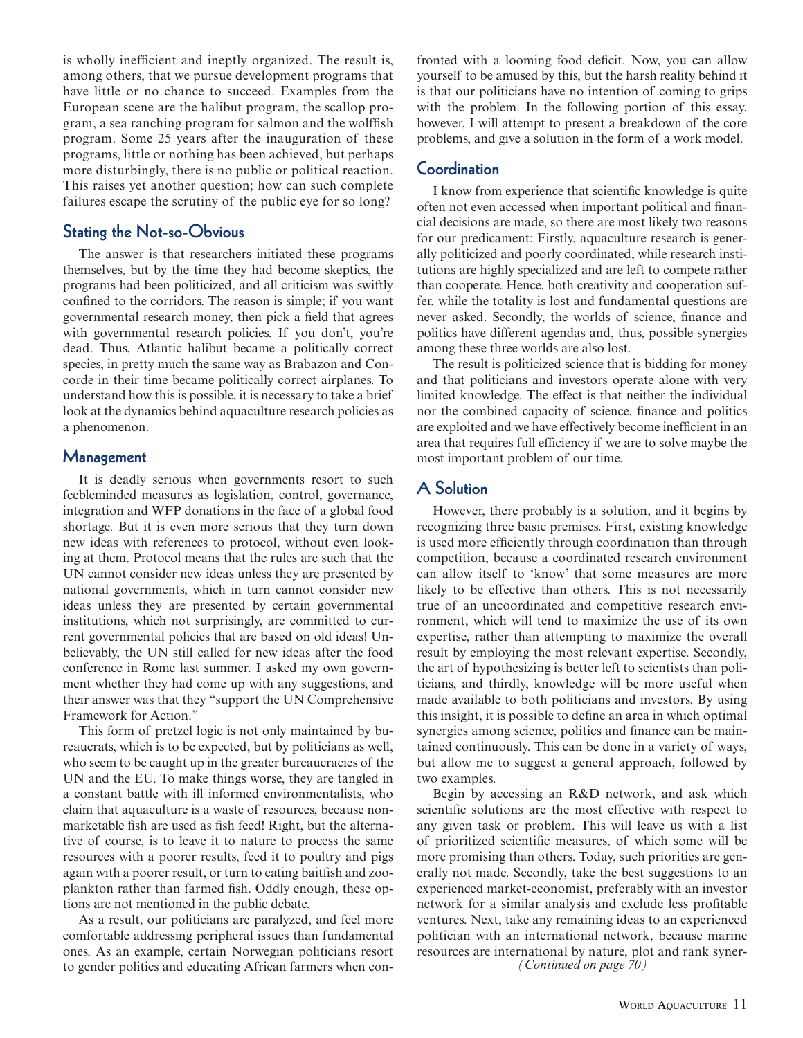is wholly inefficient and ineptly organized. The result is, among others, that we pursue development programs that have little or no chance to succeed. Examples from the European scene are the halibut program, the scallop program, a sea ranching program for salmon and the wolffish program. Some 25 years after the inauguration of these programs, little or nothing has been achieved, but perhaps more disturbingly, there is no public or political reaction. This raises yet another question; how can such complete failures escape the scrutiny of the public eye for so long?

### Stating the Not-so-Obvious

The answer is that researchers initiated these programs themselves, but by the time they had become skeptics, the programs had been politicized, and all criticism was swiftly confined to the corridors. The reason is simple; if you want governmental research money, then pick a field that agrees with governmental research policies. If you don't, you're dead. Thus, Atlantic halibut became a politically correct species, in pretty much the same way as Brabazon and Concorde in their time became politically correct airplanes. To understand how this is possible, it is necessary to take a brief look at the dynamics behind aquaculture research policies as a phenomenon.

#### Management

It is deadly serious when governments resort to such feebleminded measures as legislation, control, governance, integration and WFP donations in the face of a global food shortage. But it is even more serious that they turn down new ideas with references to protocol, without even looking at them. Protocol means that the rules are such that the UN cannot consider new ideas unless they are presented by national governments, which in turn cannot consider new ideas unless they are presented by certain governmental institutions, which not surprisingly, are committed to current governmental policies that are based on old ideas! Unbelievably, the UN still called for new ideas after the food conference in Rome last summer. I asked my own government whether they had come up with any suggestions, and their answer was that they "support the UN Comprehensive Framework for Action."

This form of pretzel logic is not only maintained by bureaucrats, which is to be expected, but by politicians as well, who seem to be caught up in the greater bureaucracies of the UN and the EU. To make things worse, they are tangled in a constant battle with ill informed environmentalists, who claim that aquaculture is a waste of resources, because nonmarketable fish are used as fish feed! Right, but the alternative of course, is to leave it to nature to process the same resources with a poorer results, feed it to poultry and pigs again with a poorer result, or turn to eating baitfish and zooplankton rather than farmed fish. Oddly enough, these options are not mentioned in the public debate.

As a result, our politicians are paralyzed, and feel more comfortable addressing peripheral issues than fundamental ones. As an example, certain Norwegian politicians resort to gender politics and educating African farmers when confronted with a looming food deficit. Now, you can allow yourself to be amused by this, but the harsh reality behind it is that our politicians have no intention of coming to grips with the problem. In the following portion of this essay, however, I will attempt to present a breakdown of the core problems, and give a solution in the form of a work model.

#### **Coordination**

I know from experience that scientific knowledge is quite often not even accessed when important political and financial decisions are made, so there are most likely two reasons for our predicament: Firstly, aquaculture research is generally politicized and poorly coordinated, while research institutions are highly specialized and are left to compete rather than cooperate. Hence, both creativity and cooperation suffer, while the totality is lost and fundamental questions are never asked. Secondly, the worlds of science, finance and politics have different agendas and, thus, possible synergies among these three worlds are also lost.

The result is politicized science that is bidding for money and that politicians and investors operate alone with very limited knowledge. The effect is that neither the individual nor the combined capacity of science, finance and politics are exploited and we have effectively become inefficient in an area that requires full efficiency if we are to solve maybe the most important problem of our time.

# A Solution

However, there probably is a solution, and it begins by recognizing three basic premises. First, existing knowledge is used more efficiently through coordination than through competition, because a coordinated research environment can allow itself to 'know' that some measures are more likely to be effective than others. This is not necessarily true of an uncoordinated and competitive research environment, which will tend to maximize the use of its own expertise, rather than attempting to maximize the overall result by employing the most relevant expertise. Secondly, the art of hypothesizing is better left to scientists than politicians, and thirdly, knowledge will be more useful when made available to both politicians and investors. By using this insight, it is possible to define an area in which optimal synergies among science, politics and finance can be maintained continuously. This can be done in a variety of ways, but allow me to suggest a general approach, followed by two examples.

Begin by accessing an R&D network, and ask which scientific solutions are the most effective with respect to any given task or problem. This will leave us with a list of prioritized scientific measures, of which some will be more promising than others. Today, such priorities are generally not made. Secondly, take the best suggestions to an experienced market-economist, preferably with an investor network for a similar analysis and exclude less profitable ventures. Next, take any remaining ideas to an experienced politician with an international network, because marine resources are international by nature, plot and rank syner- *(Continued on page 70)*